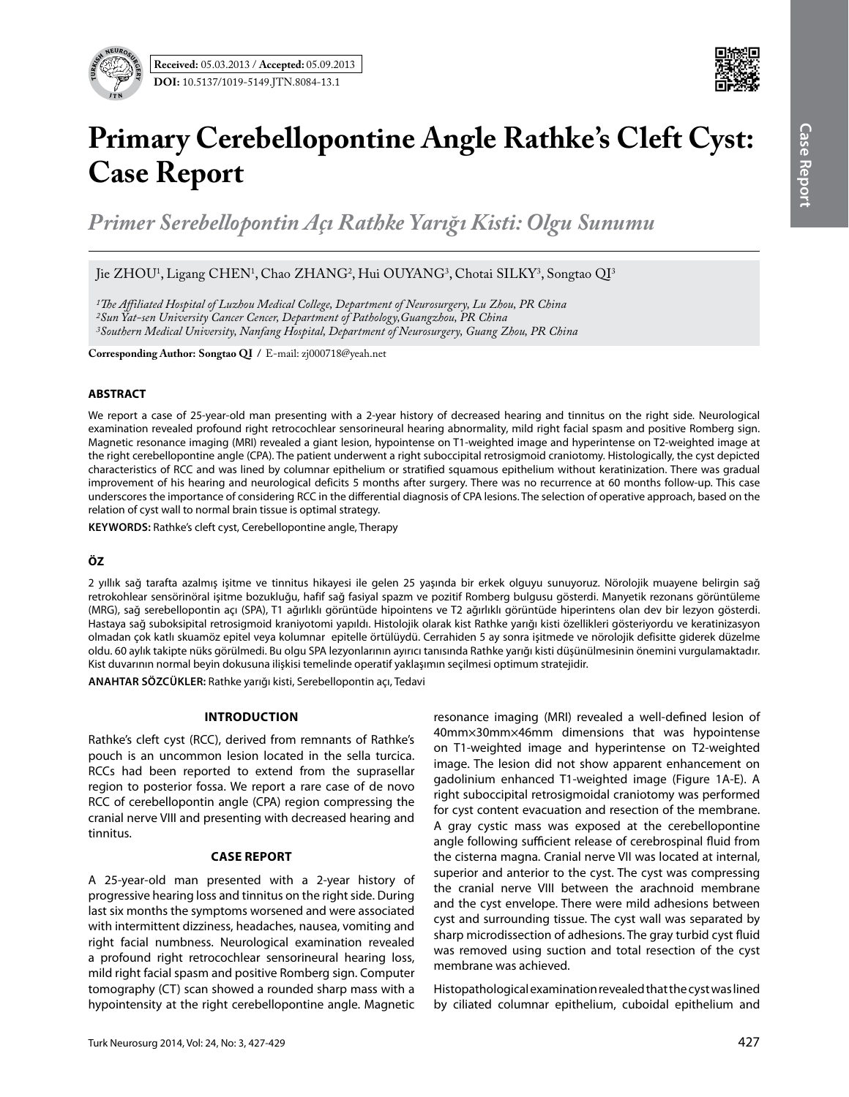

# **Primary Cerebellopontine Angle Rathke's Cleft Cyst: Case Report**

*Primer Serebellopontin Açı Rathke Yarığı Kisti: Olgu Sunumu*

Jie ZHOU<sup>1</sup>, Ligang CHEN<sup>1</sup>, Chao ZHANG<sup>2</sup>, Hui OUYANG<sup>3</sup>, Chotai SILKY<sup>3</sup>, Songtao QI<sup>3</sup>

*1The Affiliated Hospital of Luzhou Medical College, Department of Neurosurgery, Lu Zhou, PR China*

*2Sun Yat-sen University Cancer Cencer, Department of Pathology,Guangzhou, PR China* 

*3Southern Medical University, Nanfang Hospital, Department of Neurosurgery, Guang Zhou, PR China*

**Corresponding Author: Songtao QI /** E-mail: zj000718@yeah.net

## **ABSTRACT**

We report a case of 25-year-old man presenting with a 2-year history of decreased hearing and tinnitus on the right side. Neurological examination revealed profound right retrocochlear sensorineural hearing abnormality, mild right facial spasm and positive Romberg sign. Magnetic resonance imaging (MRI) revealed a giant lesion, hypointense on T1-weighted image and hyperintense on T2-weighted image at the right cerebellopontine angle (CPA). The patient underwent a right suboccipital retrosigmoid craniotomy. Histologically, the cyst depicted characteristics of RCC and was lined by columnar epithelium or stratified squamous epithelium without keratinization. There was gradual improvement of his hearing and neurological deficits 5 months after surgery. There was no recurrence at 60 months follow-up. This case underscores the importance of considering RCC in the differential diagnosis of CPA lesions. The selection of operative approach, based on the relation of cyst wall to normal brain tissue is optimal strategy.

**Keywords:** Rathke's cleft cyst, Cerebellopontine angle, Therapy

## **ÖZ**

2 yıllık sağ tarafta azalmış işitme ve tinnitus hikayesi ile gelen 25 yaşında bir erkek olguyu sunuyoruz. Nörolojik muayene belirgin sağ retrokohlear sensörinöral işitme bozukluğu, hafif sağ fasiyal spazm ve pozitif Romberg bulgusu gösterdi. Manyetik rezonans görüntüleme (MRG), sağ serebellopontin açı (SPA), T1 ağırlıklı görüntüde hipointens ve T2 ağırlıklı görüntüde hiperintens olan dev bir lezyon gösterdi. Hastaya sağ suboksipital retrosigmoid kraniyotomi yapıldı. Histolojik olarak kist Rathke yarığı kisti özellikleri gösteriyordu ve keratinizasyon olmadan çok katlı skuamöz epitel veya kolumnar epitelle örtülüydü. Cerrahiden 5 ay sonra işitmede ve nörolojik defisitte giderek düzelme oldu. 60 aylık takipte nüks görülmedi. Bu olgu SPA lezyonlarının ayırıcı tanısında Rathke yarığı kisti düşünülmesinin önemini vurgulamaktadır. Kist duvarının normal beyin dokusuna ilişkisi temelinde operatif yaklaşımın seçilmesi optimum stratejidir.

**ANAHTAR SÖZCÜKLER:** Rathke yarığı kisti, Serebellopontin açı, Tedavi

## **Introduction**

Rathke's cleft cyst (RCC), derived from remnants of Rathke's pouch is an uncommon lesion located in the sella turcica. RCCs had been reported to extend from the suprasellar region to posterior fossa. We report a rare case of de novo RCC of cerebellopontin angle (CPA) region compressing the cranial nerve VIII and presenting with decreased hearing and tinnitus.

## **Case report**

A 25-year-old man presented with a 2-year history of progressive hearing loss and tinnitus on the right side. During last six months the symptoms worsened and were associated with intermittent dizziness, headaches, nausea, vomiting and right facial numbness. Neurological examination revealed a profound right retrocochlear sensorineural hearing loss, mild right facial spasm and positive Romberg sign. Computer tomography (CT) scan showed a rounded sharp mass with a hypointensity at the right cerebellopontine angle. Magnetic resonance imaging (MRI) revealed a well-defined lesion of 40mm×30mm×46mm dimensions that was hypointense on T1-weighted image and hyperintense on T2-weighted image. The lesion did not show apparent enhancement on gadolinium enhanced T1-weighted image (Figure 1A-E). A right suboccipital retrosigmoidal craniotomy was performed for cyst content evacuation and resection of the membrane. A gray cystic mass was exposed at the cerebellopontine angle following sufficient release of cerebrospinal fluid from the cisterna magna. Cranial nerve VII was located at internal, superior and anterior to the cyst. The cyst was compressing the cranial nerve VIII between the arachnoid membrane and the cyst envelope. There were mild adhesions between cyst and surrounding tissue. The cyst wall was separated by sharp microdissection of adhesions. The gray turbid cyst fluid was removed using suction and total resection of the cyst membrane was achieved.

Histopathological examination revealed that the cyst was lined by ciliated columnar epithelium, cuboidal epithelium and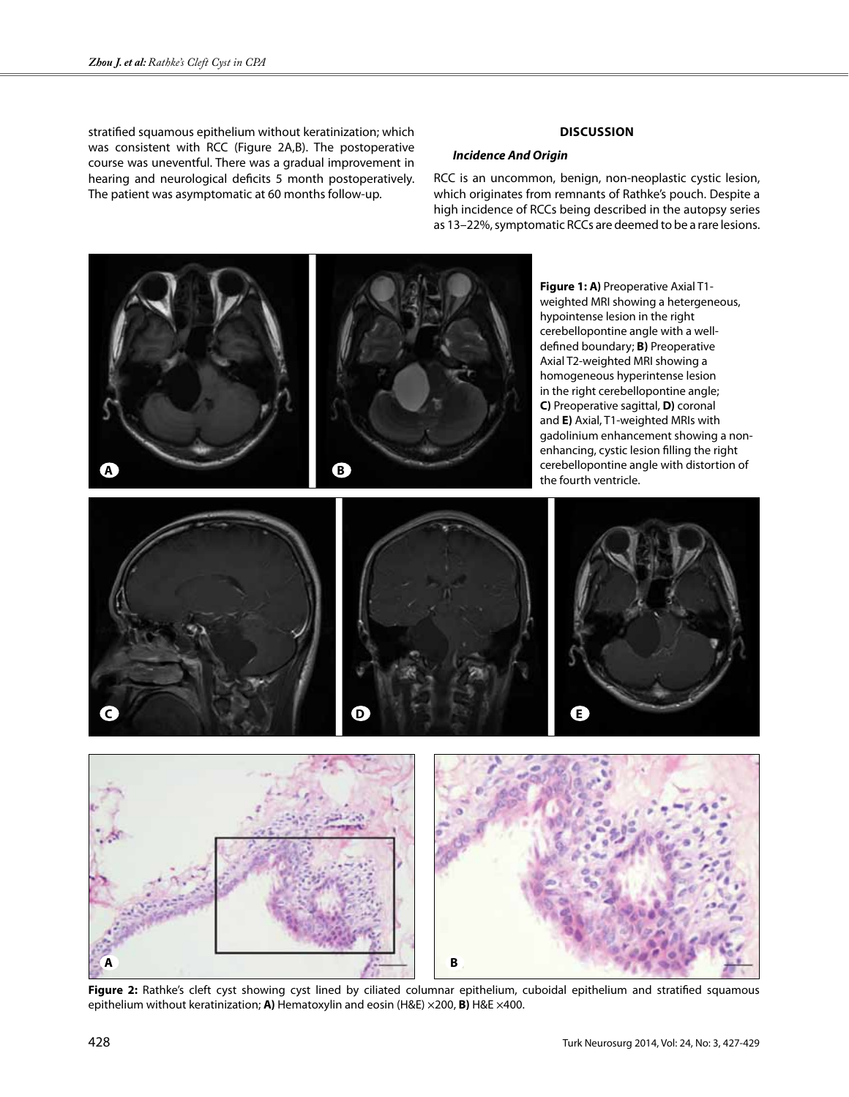stratified squamous epithelium without keratinization; which was consistent with RCC (Figure 2A,B). The postoperative course was uneventful. There was a gradual improvement in hearing and neurological deficits 5 month postoperatively. The patient was asymptomatic at 60 months follow-up.

# **Discussion**

## *Incidence And Origin*

RCC is an uncommon, benign, non-neoplastic cystic lesion, which originates from remnants of Rathke's pouch. Despite a high incidence of RCCs being described in the autopsy series as 13–22%, symptomatic RCCs are deemed to be a rare lesions.



Figure 2: Rathke's cleft cyst showing cyst lined by ciliated columnar epithelium, cuboidal epithelium and stratified squamous epithelium without keratinization; **A)** Hematoxylin and eosin (H&E) ×200, **B)** H&E ×400.